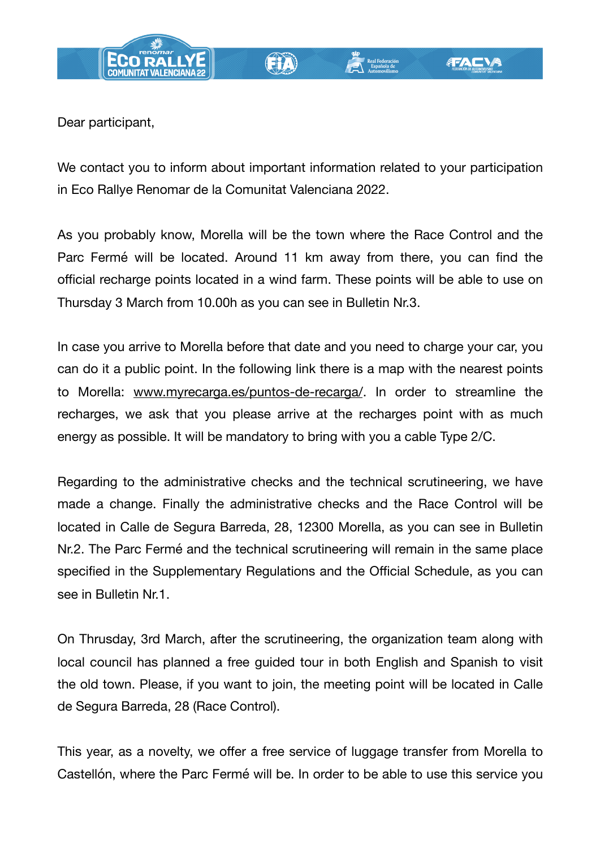

Dear participant,

We contact you to inform about important information related to your participation in Eco Rallye Renomar de la Comunitat Valenciana 2022.

As you probably know, Morella will be the town where the Race Control and the Parc Fermé will be located. Around 11 km away from there, you can find the official recharge points located in a wind farm. These points will be able to use on Thursday 3 March from 10.00h as you can see in Bulletin Nr.3.

In case you arrive to Morella before that date and you need to charge your car, you can do it a public point. In the following link there is a map with the nearest points to Morella: [www.myrecarga.es/puntos-de-recarga/](http://www.myrecarga.es/puntos-de-recarga/). In order to streamline the recharges, we ask that you please arrive at the recharges point with as much energy as possible. It will be mandatory to bring with you a cable Type 2/C.

Regarding to the administrative checks and the technical scrutineering, we have made a change. Finally the administrative checks and the Race Control will be located in Calle de Segura Barreda, 28, 12300 Morella, as you can see in Bulletin Nr.2. The Parc Fermé and the technical scrutineering will remain in the same place specified in the Supplementary Regulations and the Official Schedule, as you can see in Bulletin Nr.1.

On Thrusday, 3rd March, after the scrutineering, the organization team along with local council has planned a free guided tour in both English and Spanish to visit the old town. Please, if you want to join, the meeting point will be located in Calle de Segura Barreda, 28 (Race Control).

This year, as a novelty, we offer a free service of luggage transfer from Morella to Castellón, where the Parc Fermé will be. In order to be able to use this service you